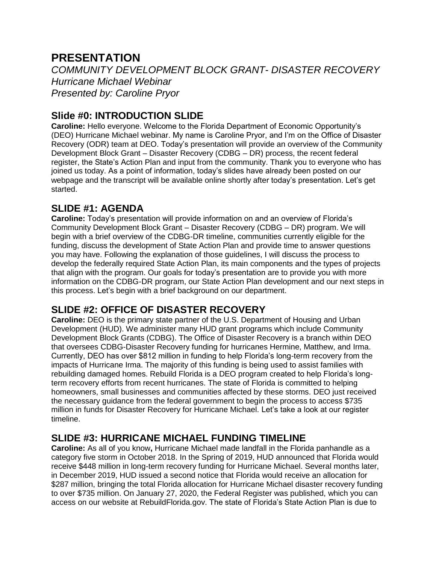# **PRESENTATION**

*COMMUNITY DEVELOPMENT BLOCK GRANT- DISASTER RECOVERY Hurricane Michael Webinar Presented by: Caroline Pryor* 

#### **Slide #0: INTRODUCTION SLIDE**

**Caroline:** Hello everyone. Welcome to the Florida Department of Economic Opportunity's (DEO) Hurricane Michael webinar. My name is Caroline Pryor, and I'm on the Office of Disaster Recovery (ODR) team at DEO. Today's presentation will provide an overview of the Community Development Block Grant – Disaster Recovery (CDBG – DR) process, the recent federal register, the State's Action Plan and input from the community. Thank you to everyone who has joined us today. As a point of information, today's slides have already been posted on our webpage and the transcript will be available online shortly after today's presentation. Let's get started.

## **SLIDE #1: AGENDA**

**Caroline:** Today's presentation will provide information on and an overview of Florida's Community Development Block Grant – Disaster Recovery (CDBG – DR) program. We will begin with a brief overview of the CDBG-DR timeline, communities currently eligible for the funding, discuss the development of State Action Plan and provide time to answer questions you may have. Following the explanation of those guidelines, I will discuss the process to develop the federally required State Action Plan, its main components and the types of projects that align with the program. Our goals for today's presentation are to provide you with more information on the CDBG-DR program, our State Action Plan development and our next steps in this process. Let's begin with a brief background on our department.

### **SLIDE #2: OFFICE OF DISASTER RECOVERY**

**Caroline:** DEO is the primary state partner of the U.S. Department of Housing and Urban Development (HUD). We administer many HUD grant programs which include Community Development Block Grants (CDBG). The Office of Disaster Recovery is a branch within DEO that oversees CDBG-Disaster Recovery funding for hurricanes Hermine, Matthew, and Irma. Currently, DEO has over \$812 million in funding to help Florida's long-term recovery from the impacts of Hurricane Irma. The majority of this funding is being used to assist families with rebuilding damaged homes. Rebuild Florida is a DEO program created to help Florida's longterm recovery efforts from recent hurricanes. The state of Florida is committed to helping homeowners, small businesses and communities affected by these storms. DEO just received the necessary guidance from the federal government to begin the process to access \$735 million in funds for Disaster Recovery for Hurricane Michael. Let's take a look at our register timeline.

### **SLIDE #3: HURRICANE MICHAEL FUNDING TIMELINE**

**Caroline:** As all of you know**,** Hurricane Michael made landfall in the Florida panhandle as a category five storm in October 2018. In the Spring of 2019, HUD announced that Florida would receive \$448 million in long-term recovery funding for Hurricane Michael. Several months later, in December 2019, HUD issued a second notice that Florida would receive an allocation for \$287 million, bringing the total Florida allocation for Hurricane Michael disaster recovery funding to over \$735 million. On January 27, 2020, the Federal Register was published, which you can access on our website at RebuildFlorida.gov. The state of Florida's State Action Plan is due to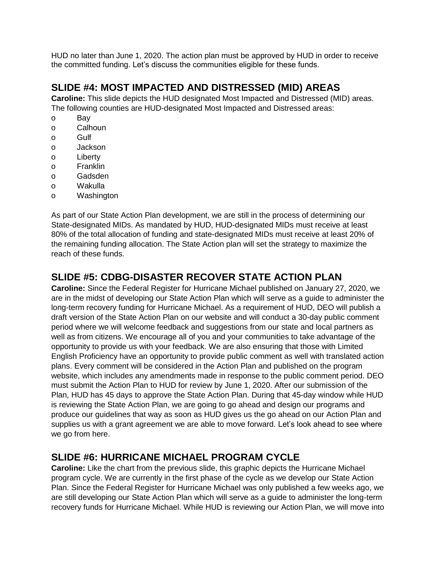HUD no later than June 1, 2020. The action plan must be approved by HUD in order to receive the committed funding. Let's discuss the communities eligible for these funds.

## **SLIDE #4: MOST IMPACTED AND DISTRESSED (MID) AREAS**

**Caroline:** This slide depicts the HUD designated Most Impacted and Distressed (MID) areas. The following counties are HUD-designated Most Impacted and Distressed areas:

- o Bay
- o Calhoun
- o Gulf
- o Jackson
- o Liberty
- o Franklin
- o Gadsden
- o Wakulla
- o Washington

As part of our State Action Plan development, we are still in the process of determining our State-designated MIDs. As mandated by HUD, HUD-designated MIDs must receive at least 80% of the total allocation of funding and state-designated MIDs must receive at least 20% of the remaining funding allocation. The State Action plan will set the strategy to maximize the reach of these funds.

## **SLIDE #5: CDBG-DISASTER RECOVER STATE ACTION PLAN**

**Caroline:** Since the Federal Register for Hurricane Michael published on January 27, 2020, we are in the midst of developing our State Action Plan which will serve as a guide to administer the long-term recovery funding for Hurricane Michael. As a requirement of HUD, DEO will publish a draft version of the State Action Plan on our website and will conduct a 30-day public comment period where we will welcome feedback and suggestions from our state and local partners as well as from citizens. We encourage all of you and your communities to take advantage of the opportunity to provide us with your feedback. We are also ensuring that those with Limited English Proficiency have an opportunity to provide public comment as well with translated action plans. Every comment will be considered in the Action Plan and published on the program website, which includes any amendments made in response to the public comment period. DEO must submit the Action Plan to HUD for review by June 1, 2020. After our submission of the Plan, HUD has 45 days to approve the State Action Plan. During that 45-day window while HUD is reviewing the State Action Plan, we are going to go ahead and design our programs and produce our guidelines that way as soon as HUD gives us the go ahead on our Action Plan and supplies us with a grant agreement we are able to move forward. Let's look ahead to see where we go from here.

### **SLIDE #6: HURRICANE MICHAEL PROGRAM CYCLE**

**Caroline:** Like the chart from the previous slide, this graphic depicts the Hurricane Michael program cycle. We are currently in the first phase of the cycle as we develop our State Action Plan. Since the Federal Register for Hurricane Michael was only published a few weeks ago, we are still developing our State Action Plan which will serve as a guide to administer the long-term recovery funds for Hurricane Michael. While HUD is reviewing our Action Plan, we will move into